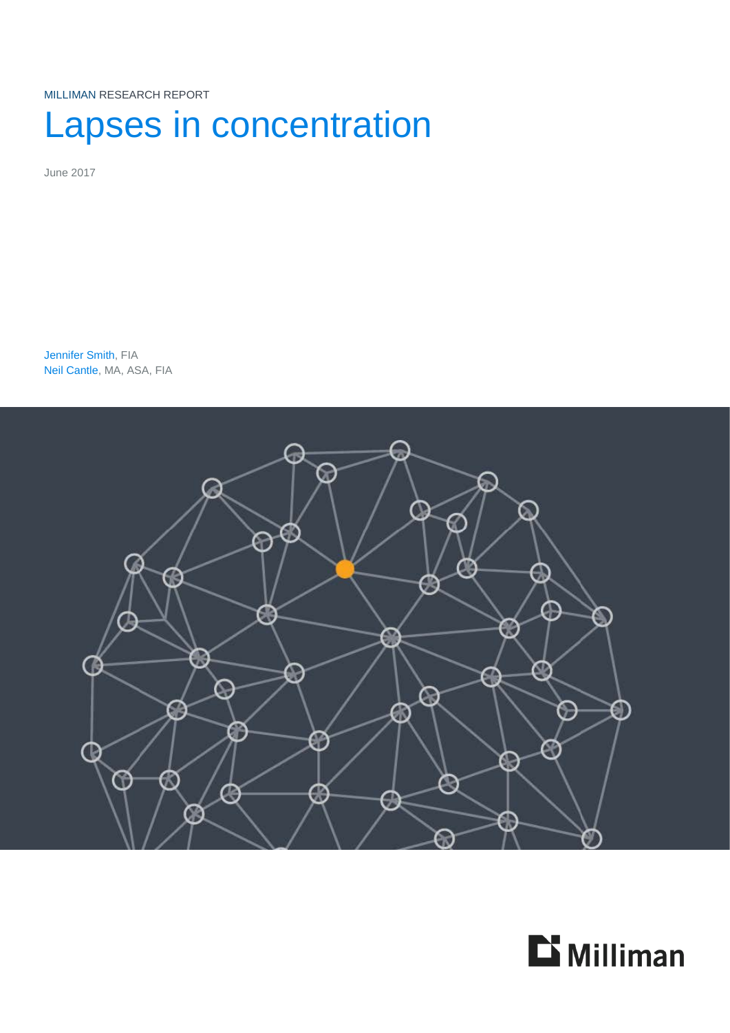MILLIMAN RESEARCH REPORT

# Lapses in concentration

June 2017

Jennifer Smith, FIA Neil Cantle, MA, ASA, FIA



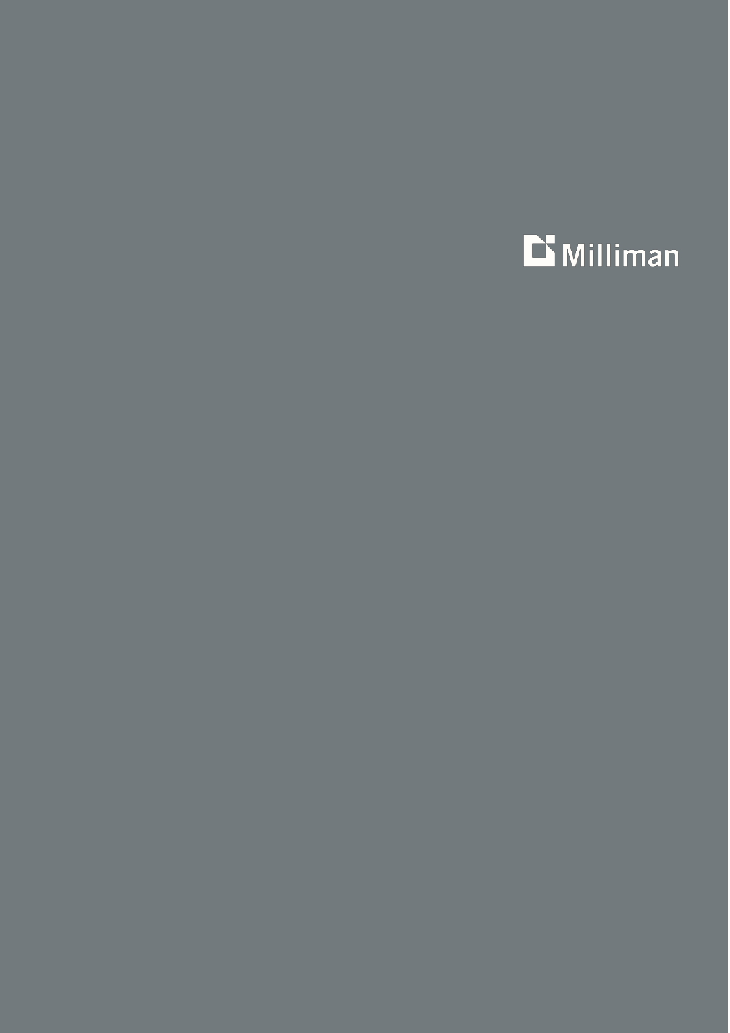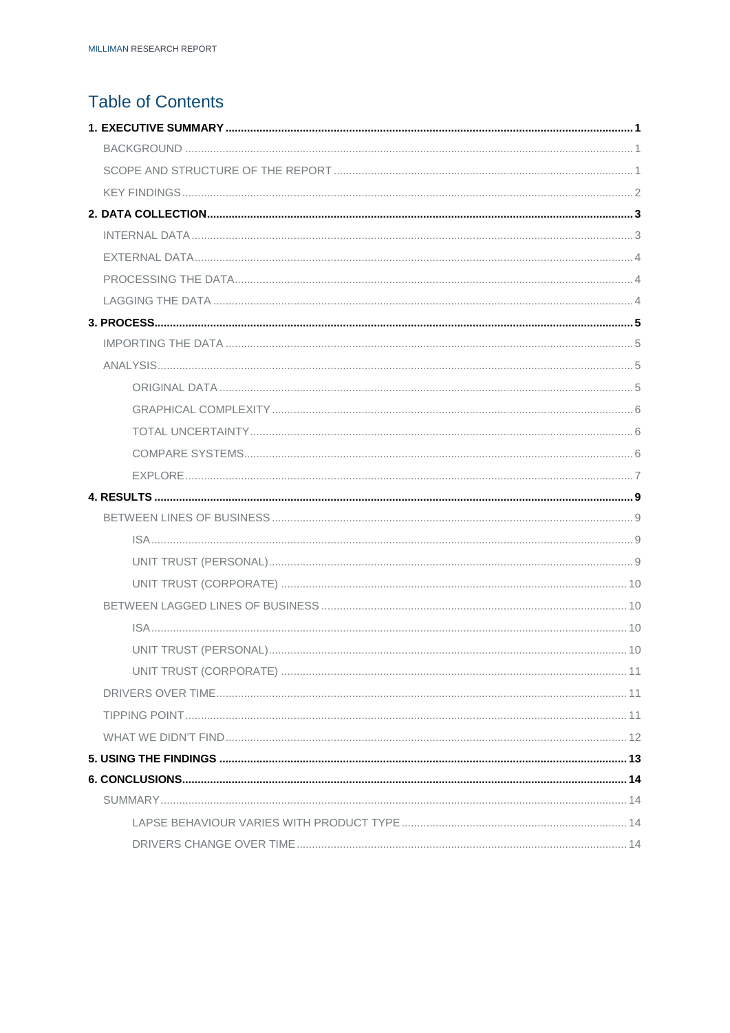# **Table of Contents**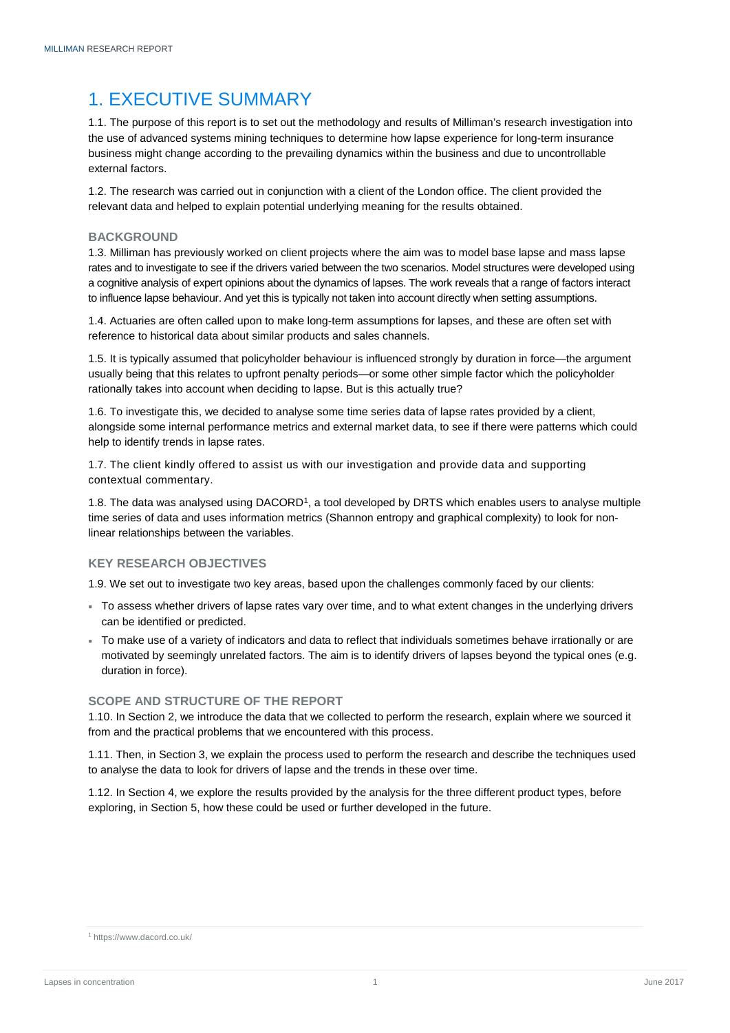# <span id="page-3-0"></span>1. EXECUTIVE SUMMARY

1.1. The purpose of this report is to set out the methodology and results of Milliman's research investigation into the use of advanced systems mining techniques to determine how lapse experience for long-term insurance business might change according to the prevailing dynamics within the business and due to uncontrollable external factors.

1.2. The research was carried out in conjunction with a client of the London office. The client provided the relevant data and helped to explain potential underlying meaning for the results obtained.

# <span id="page-3-1"></span>**BACKGROUND**

1.3. Milliman has previously worked on client projects where the aim was to model base lapse and mass lapse rates and to investigate to see if the drivers varied between the two scenarios. Model structures were developed using a cognitive analysis of expert opinions about the dynamics of lapses. The work reveals that a range of factors interact to influence lapse behaviour. And yet this is typically not taken into account directly when setting assumptions.

1.4. Actuaries are often called upon to make long-term assumptions for lapses, and these are often set with reference to historical data about similar products and sales channels.

1.5. It is typically assumed that policyholder behaviour is influenced strongly by duration in force—the argument usually being that this relates to upfront penalty periods—or some other simple factor which the policyholder rationally takes into account when deciding to lapse. But is this actually true?

1.6. To investigate this, we decided to analyse some time series data of lapse rates provided by a client, alongside some internal performance metrics and external market data, to see if there were patterns which could help to identify trends in lapse rates.

1.7. The client kindly offered to assist us with our investigation and provide data and supporting contextual commentary.

[1](#page-3-3).8. The data was analysed using DACORD<sup>1</sup>, a tool developed by DRTS which enables users to analyse multiple time series of data and uses information metrics (Shannon entropy and graphical complexity) to look for nonlinear relationships between the variables.

# **KEY RESEARCH OBJECTIVES**

1.9. We set out to investigate two key areas, based upon the challenges commonly faced by our clients:

- To assess whether drivers of lapse rates vary over time, and to what extent changes in the underlying drivers can be identified or predicted.
- To make use of a variety of indicators and data to reflect that individuals sometimes behave irrationally or are motivated by seemingly unrelated factors. The aim is to identify drivers of lapses beyond the typical ones (e.g. duration in force).

# <span id="page-3-2"></span>**SCOPE AND STRUCTURE OF THE REPORT**

1.10. In Section 2, we introduce the data that we collected to perform the research, explain where we sourced it from and the practical problems that we encountered with this process.

1.11. Then, in Section 3, we explain the process used to perform the research and describe the techniques used to analyse the data to look for drivers of lapse and the trends in these over time.

1.12. In Section 4, we explore the results provided by the analysis for the three different product types, before exploring, in Section 5, how these could be used or further developed in the future.

<span id="page-3-3"></span><sup>1</sup> https://www.dacord.co.uk/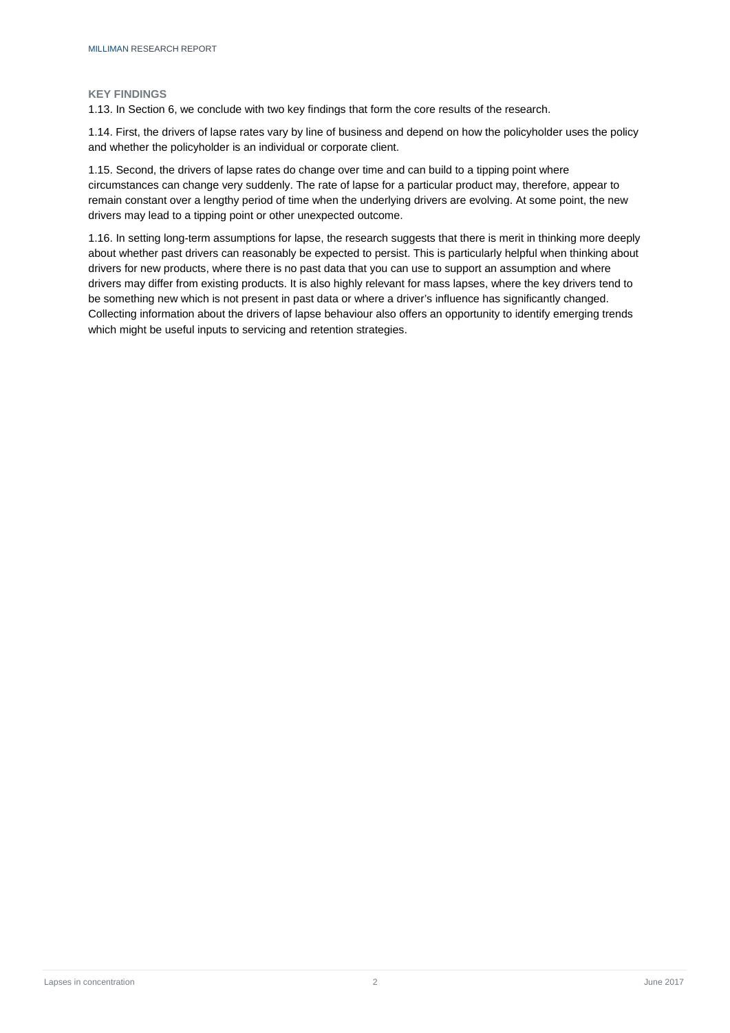#### <span id="page-4-0"></span>**KEY FINDINGS**

1.13. In Section 6, we conclude with two key findings that form the core results of the research.

1.14. First, the drivers of lapse rates vary by line of business and depend on how the policyholder uses the policy and whether the policyholder is an individual or corporate client.

1.15. Second, the drivers of lapse rates do change over time and can build to a tipping point where circumstances can change very suddenly. The rate of lapse for a particular product may, therefore, appear to remain constant over a lengthy period of time when the underlying drivers are evolving. At some point, the new drivers may lead to a tipping point or other unexpected outcome.

1.16. In setting long-term assumptions for lapse, the research suggests that there is merit in thinking more deeply about whether past drivers can reasonably be expected to persist. This is particularly helpful when thinking about drivers for new products, where there is no past data that you can use to support an assumption and where drivers may differ from existing products. It is also highly relevant for mass lapses, where the key drivers tend to be something new which is not present in past data or where a driver's influence has significantly changed. Collecting information about the drivers of lapse behaviour also offers an opportunity to identify emerging trends which might be useful inputs to servicing and retention strategies.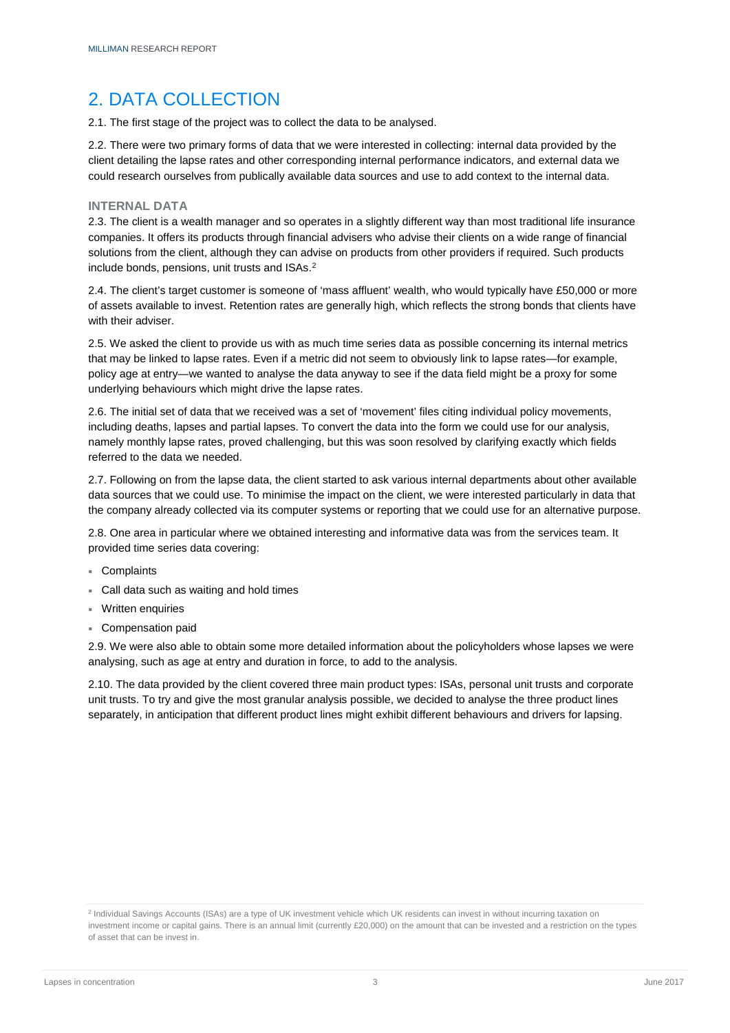# <span id="page-5-0"></span>2. DATA COLLECTION

2.1. The first stage of the project was to collect the data to be analysed.

2.2. There were two primary forms of data that we were interested in collecting: internal data provided by the client detailing the lapse rates and other corresponding internal performance indicators, and external data we could research ourselves from publically available data sources and use to add context to the internal data.

# <span id="page-5-1"></span>**INTERNAL DATA**

2.3. The client is a wealth manager and so operates in a slightly different way than most traditional life insurance companies. It offers its products through financial advisers who advise their clients on a wide range of financial solutions from the client, although they can advise on products from other providers if required. Such products include bonds, pensions, unit trusts and ISAs.[2](#page-5-3)

2.4. The client's target customer is someone of 'mass affluent' wealth, who would typically have £50,000 or more of assets available to invest. Retention rates are generally high, which reflects the strong bonds that clients have with their adviser.

2.5. We asked the client to provide us with as much time series data as possible concerning its internal metrics that may be linked to lapse rates. Even if a metric did not seem to obviously link to lapse rates—for example, policy age at entry—we wanted to analyse the data anyway to see if the data field might be a proxy for some underlying behaviours which might drive the lapse rates.

2.6. The initial set of data that we received was a set of 'movement' files citing individual policy movements, including deaths, lapses and partial lapses. To convert the data into the form we could use for our analysis, namely monthly lapse rates, proved challenging, but this was soon resolved by clarifying exactly which fields referred to the data we needed.

2.7. Following on from the lapse data, the client started to ask various internal departments about other available data sources that we could use. To minimise the impact on the client, we were interested particularly in data that the company already collected via its computer systems or reporting that we could use for an alternative purpose.

2.8. One area in particular where we obtained interesting and informative data was from the services team. It provided time series data covering:

- Complaints
- Call data such as waiting and hold times
- Written enquiries
- Compensation paid

2.9. We were also able to obtain some more detailed information about the policyholders whose lapses we were analysing, such as age at entry and duration in force, to add to the analysis.

<span id="page-5-2"></span>2.10. The data provided by the client covered three main product types: ISAs, personal unit trusts and corporate unit trusts. To try and give the most granular analysis possible, we decided to analyse the three product lines separately, in anticipation that different product lines might exhibit different behaviours and drivers for lapsing.

<span id="page-5-3"></span><sup>2</sup> Individual Savings Accounts (ISAs) are a type of UK investment vehicle which UK residents can invest in without incurring taxation on investment income or capital gains. There is an annual limit (currently £20,000) on the amount that can be invested and a restriction on the types of asset that can be invest in.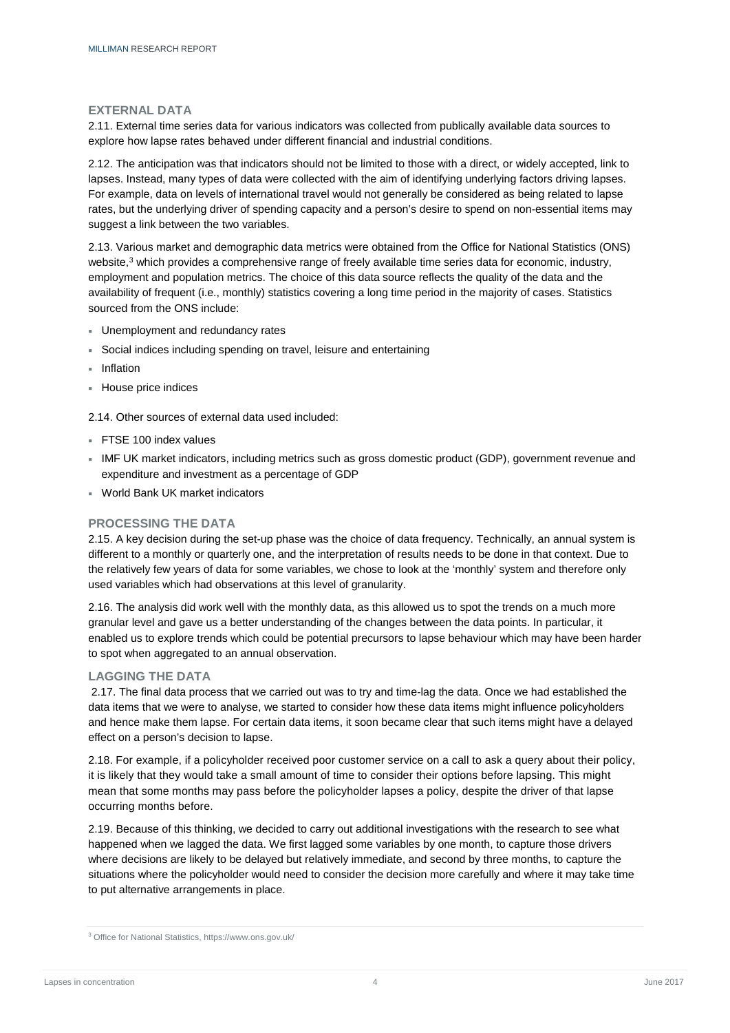### **EXTERNAL DATA**

2.11. External time series data for various indicators was collected from publically available data sources to explore how lapse rates behaved under different financial and industrial conditions.

2.12. The anticipation was that indicators should not be limited to those with a direct, or widely accepted, link to lapses. Instead, many types of data were collected with the aim of identifying underlying factors driving lapses. For example, data on levels of international travel would not generally be considered as being related to lapse rates, but the underlying driver of spending capacity and a person's desire to spend on non-essential items may suggest a link between the two variables.

2.13. Various market and demographic data metrics were obtained from the Office for National Statistics (ONS) website,<sup>3</sup> which provides a comprehensive range of freely available time series data for economic, industry, employment and population metrics. The choice of this data source reflects the quality of the data and the availability of frequent (i.e., monthly) statistics covering a long time period in the majority of cases. Statistics sourced from the ONS include:

- Unemployment and redundancy rates
- Social indices including spending on travel, leisure and entertaining
- **Inflation**
- House price indices

2.14. Other sources of external data used included:

- **FTSE 100 index values**
- IMF UK market indicators, including metrics such as gross domestic product (GDP), government revenue and expenditure and investment as a percentage of GDP
- World Bank UK market indicators

# <span id="page-6-0"></span>**PROCESSING THE DATA**

2.15. A key decision during the set-up phase was the choice of data frequency. Technically, an annual system is different to a monthly or quarterly one, and the interpretation of results needs to be done in that context. Due to the relatively few years of data for some variables, we chose to look at the 'monthly' system and therefore only used variables which had observations at this level of granularity.

2.16. The analysis did work well with the monthly data, as this allowed us to spot the trends on a much more granular level and gave us a better understanding of the changes between the data points. In particular, it enabled us to explore trends which could be potential precursors to lapse behaviour which may have been harder to spot when aggregated to an annual observation.

# <span id="page-6-1"></span>**LAGGING THE DATA**

2.17. The final data process that we carried out was to try and time-lag the data. Once we had established the data items that we were to analyse, we started to consider how these data items might influence policyholders and hence make them lapse. For certain data items, it soon became clear that such items might have a delayed effect on a person's decision to lapse.

2.18. For example, if a policyholder received poor customer service on a call to ask a query about their policy, it is likely that they would take a small amount of time to consider their options before lapsing. This might mean that some months may pass before the policyholder lapses a policy, despite the driver of that lapse occurring months before.

2.19. Because of this thinking, we decided to carry out additional investigations with the research to see what happened when we lagged the data. We first lagged some variables by one month, to capture those drivers where decisions are likely to be delayed but relatively immediate, and second by three months, to capture the situations where the policyholder would need to consider the decision more carefully and where it may take time to put alternative arrangements in place.

<span id="page-6-2"></span><sup>3</sup> Office for National Statistics, https://www.ons.gov.uk/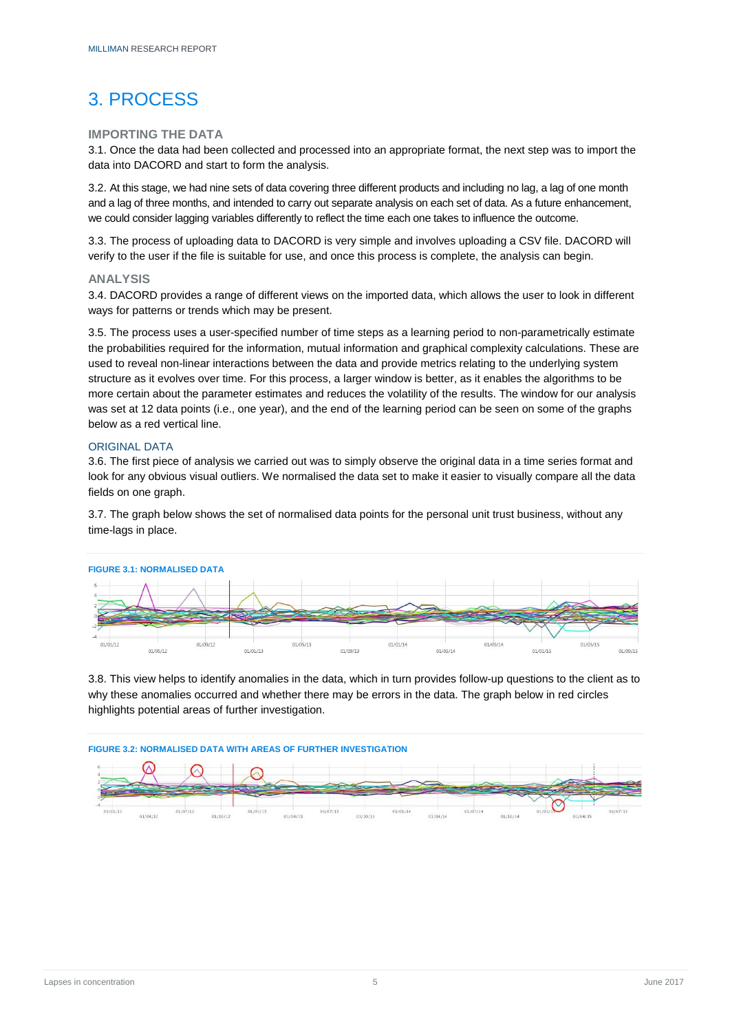# <span id="page-7-0"></span>3. PROCESS

### <span id="page-7-1"></span>**IMPORTING THE DATA**

3.1. Once the data had been collected and processed into an appropriate format, the next step was to import the data into DACORD and start to form the analysis.

3.2. At this stage, we had nine sets of data covering three different products and including no lag, a lag of one month and a lag of three months, and intended to carry out separate analysis on each set of data. As a future enhancement, we could consider lagging variables differently to reflect the time each one takes to influence the outcome.

3.3. The process of uploading data to DACORD is very simple and involves uploading a CSV file. DACORD will verify to the user if the file is suitable for use, and once this process is complete, the analysis can begin.

### <span id="page-7-2"></span>**ANALYSIS**

3.4. DACORD provides a range of different views on the imported data, which allows the user to look in different ways for patterns or trends which may be present.

3.5. The process uses a user-specified number of time steps as a learning period to non-parametrically estimate the probabilities required for the information, mutual information and graphical complexity calculations. These are used to reveal non-linear interactions between the data and provide metrics relating to the underlying system structure as it evolves over time. For this process, a larger window is better, as it enables the algorithms to be more certain about the parameter estimates and reduces the volatility of the results. The window for our analysis was set at 12 data points (i.e., one year), and the end of the learning period can be seen on some of the graphs below as a red vertical line.

### <span id="page-7-3"></span>ORIGINAL DATA

3.6. The first piece of analysis we carried out was to simply observe the original data in a time series format and look for any obvious visual outliers. We normalised the data set to make it easier to visually compare all the data fields on one graph.

3.7. The graph below shows the set of normalised data points for the personal unit trust business, without any time-lags in place.



3.8. This view helps to identify anomalies in the data, which in turn provides follow-up questions to the client as to why these anomalies occurred and whether there may be errors in the data. The graph below in red circles highlights potential areas of further investigation.

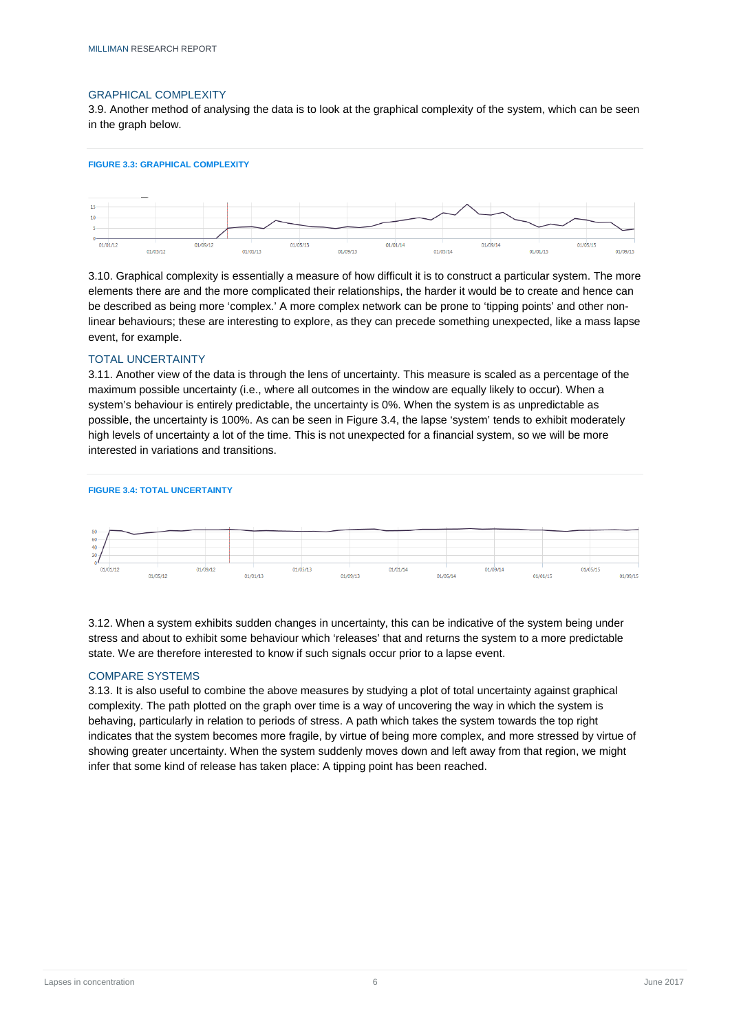#### <span id="page-8-0"></span>GRAPHICAL COMPLEXITY

3.9. Another method of analysing the data is to look at the graphical complexity of the system, which can be seen in the graph below.





3.10. Graphical complexity is essentially a measure of how difficult it is to construct a particular system. The more elements there are and the more complicated their relationships, the harder it would be to create and hence can be described as being more 'complex.' A more complex network can be prone to 'tipping points' and other nonlinear behaviours; these are interesting to explore, as they can precede something unexpected, like a mass lapse event, for example.

### <span id="page-8-1"></span>TOTAL UNCERTAINTY

3.11. Another view of the data is through the lens of uncertainty. This measure is scaled as a percentage of the maximum possible uncertainty (i.e., where all outcomes in the window are equally likely to occur). When a system's behaviour is entirely predictable, the uncertainty is 0%. When the system is as unpredictable as possible, the uncertainty is 100%. As can be seen in Figure 3.4, the lapse 'system' tends to exhibit moderately high levels of uncertainty a lot of the time. This is not unexpected for a financial system, so we will be more interested in variations and transitions.

**FIGURE 3.4: TOTAL UNCERTAINTY**



3.12. When a system exhibits sudden changes in uncertainty, this can be indicative of the system being under stress and about to exhibit some behaviour which 'releases' that and returns the system to a more predictable state. We are therefore interested to know if such signals occur prior to a lapse event.

# <span id="page-8-2"></span>COMPARE SYSTEMS

3.13. It is also useful to combine the above measures by studying a plot of total uncertainty against graphical complexity. The path plotted on the graph over time is a way of uncovering the way in which the system is behaving, particularly in relation to periods of stress. A path which takes the system towards the top right indicates that the system becomes more fragile, by virtue of being more complex, and more stressed by virtue of showing greater uncertainty. When the system suddenly moves down and left away from that region, we might infer that some kind of release has taken place: A tipping point has been reached.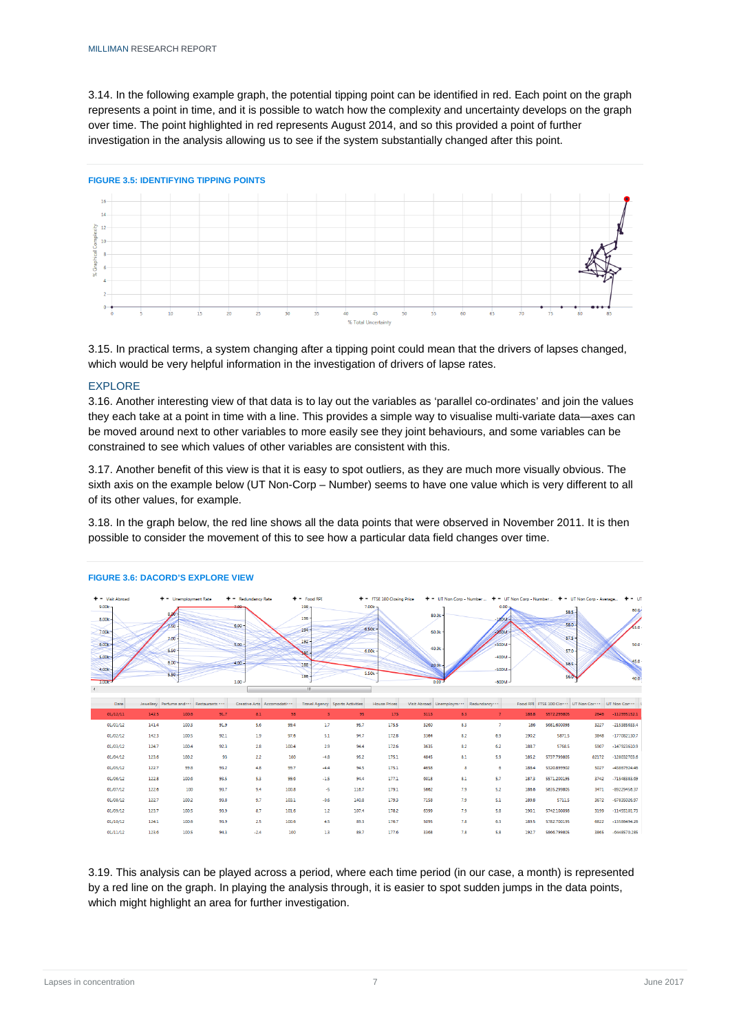3.14. In the following example graph, the potential tipping point can be identified in red. Each point on the graph represents a point in time, and it is possible to watch how the complexity and uncertainty develops on the graph over time. The point highlighted in red represents August 2014, and so this provided a point of further investigation in the analysis allowing us to see if the system substantially changed after this point.





3.15. In practical terms, a system changing after a tipping point could mean that the drivers of lapses changed, which would be very helpful information in the investigation of drivers of lapse rates.

### <span id="page-9-0"></span>EXPLORE

3.16. Another interesting view of that data is to lay out the variables as 'parallel co-ordinates' and join the values they each take at a point in time with a line. This provides a simple way to visualise multi-variate data—axes can be moved around next to other variables to more easily see they joint behaviours, and some variables can be constrained to see which values of other variables are consistent with this.

3.17. Another benefit of this view is that it is easy to spot outliers, as they are much more visually obvious. The sixth axis on the example below (UT Non-Corp – Number) seems to have one value which is very different to all of its other values, for example.

3.18. In the graph below, the red line shows all the data points that were observed in November 2011. It is then possible to consider the movement of this to see how a particular data field changes over time.

| $+ -$ Visit Abroad<br>$9.00k -$<br>8.00k<br>7.00k<br>$6.00k -$ |       | $+ -$ Unemployment Rate<br>8.00<br>7.50<br>$7.00 -$<br>6.50 |      | $+ -$ Redundancy Rate<br>$6.00 -$<br>$5.00 -$ |                                | $+ -$ Food RPI<br>$198 -$<br>$196 -$<br>194<br>192<br>seo- |       | + - FTSE 100 Closing Price<br>$7.00k_{B}$<br>6.50k<br>6,00k |      | 80.0k<br>60.0k<br>40.0k                             | + - UT Non Corp - Number  + - UT Non Corp - Number  + - UT Non Corp - Average<br>$0.00 -$<br>$-100M -$<br>$-200M$<br>$-300M$ |       | $58.5 -$<br>$58.0 -$<br>$57.5 -$<br>$57.0 -$      |       | $+ - 0$<br>60.0<br>55.0<br>50.0 |
|----------------------------------------------------------------|-------|-------------------------------------------------------------|------|-----------------------------------------------|--------------------------------|------------------------------------------------------------|-------|-------------------------------------------------------------|------|-----------------------------------------------------|------------------------------------------------------------------------------------------------------------------------------|-------|---------------------------------------------------|-------|---------------------------------|
| 5.00k<br>4.00k<br>3.00K<br>Date                                |       | $6.00 -$<br>$5.50 -$<br>Jewellery Perfume and  Restaurants  |      | $4.00 -$<br>$3.00 -$                          | Creative Arts Accomodati · · · | 188<br>186<br>m.<br><b>Travel Agency Sports Activities</b> |       | 5.50k<br><b>House Prices</b>                                |      | 20.0k<br>0.00<br>Visit Abroad Unemploym  Redundancy | $-400M$<br>$-500M -$<br>$-600M -$                                                                                            |       | $56.5 -$<br>Food RPI FTSE 100 Clove UT Non Corres |       | 45.0<br>40.0<br>UT Non Cor ···  |
| 01/12/11                                                       | 142.5 | 100.6                                                       | 91.7 | 8.1                                           | 98                             | 3                                                          | 95    | 173                                                         | 3113 | 8.3                                                 | 7                                                                                                                            | 188.8 | 5572.299805                                       | 2646  | $-112995152.1$                  |
| 01/01/12                                                       | 141.4 | 100.3                                                       | 91.9 | 5.6                                           | 99.4                           | 1.7                                                        | 95.7  | 175.5                                                       | 3260 | 83                                                  | $\overline{7}$                                                                                                               | 186   | 5681,600098                                       | 3227  | $-215385633.4$                  |
| 01/02/12                                                       | 142.3 | 100.5                                                       | 92.1 | 1.9                                           | 97.6                           | 5.1                                                        | 94.7  | 172.8                                                       | 3364 | 8.2                                                 | 6.9                                                                                                                          | 190.2 | 5871.5                                            | 3848  | -177082130.7                    |
| 01/03/12                                                       | 124.7 | 100.4                                                       | 92.3 | 2.8                                           | 100.4                          | 2.9                                                        | 94.4  | 172.6                                                       | 3635 | 8.2                                                 | 6.2                                                                                                                          | 188.7 | 5768.5                                            | 5907  | $-147923610.9$                  |
| 01/04/12                                                       | 123.6 | 100.2                                                       | 93   | 2.2                                           | 100                            | $-4.8$                                                     | 95.2  | 175.1                                                       | 4845 | 8.1                                                 | 5.9                                                                                                                          | 185.2 | 5737.799805                                       | 82172 | $-128032703.6$                  |
| 01/05/12                                                       | 122.7 | 99.8                                                        | 93.2 | 4.8                                           | 99.7                           | $-4.4$                                                     | 94.5  | 175.1                                                       | 4658 | 8                                                   | 6                                                                                                                            | 188.4 | 5320.899902                                       | 5027  | -43867924.46                    |
| 01/06/12                                                       | 122.8 | 100.6                                                       | 93.5 | 5.3                                           | 99.6                           | $-1.5$                                                     | 94.4  | 177.1                                                       | 6018 | 8.1                                                 | 5.7                                                                                                                          | 187.3 | 5571.200195                                       | 3742  | -71548383.69                    |
| 01/07/12                                                       | 122.6 | 100                                                         | 93.7 | 9.4                                           | 100.8                          | -5                                                         | 116.7 | 179.1                                                       | 5662 | 7.9                                                 | 5.2                                                                                                                          | 186.6 | 5635.299805                                       | 3471  | -89229456.37                    |
| 01/08/12                                                       | 122.7 | 100.2                                                       | 93.8 | 9.7                                           | 103.1                          | $-0.6$                                                     | 140.8 | 179.3                                                       | 7158 | 7.9                                                 | 5.1                                                                                                                          | 189.8 | 5711.5                                            | 3672  | $-67835026.97$                  |
| 01/09/12                                                       | 123.7 | 100.5                                                       | 93.9 | 8.7                                           | 101.6                          | 1.2                                                        | 107.4 | 178.2                                                       | 6399 | 7.9                                                 | 5.8                                                                                                                          | 190.1 | 5742.100098                                       | 3199  | $-11455101.73$                  |
| 01/10/12                                                       | 124.1 | 100.6                                                       | 93.9 | 2.5                                           | 100.6                          | 4.5                                                        | 89.3  | 176.7                                                       | 5095 | 7.8                                                 | 6.3                                                                                                                          | 189.5 | 5782.700195                                       | 6822  | -13586494.26                    |
| 01/11/12                                                       | 123.6 | 100.5                                                       | 94.3 | $-2.4$                                        | 100                            | 13                                                         | 89.7  | 177.6                                                       | 3368 | 7.8                                                 | 5.8                                                                                                                          | 192.7 | 5866,799805                                       | 3865  | $-6448570.285$                  |

#### **FIGURE 3.6: DACORD'S EXPLORE VIEW**

3.19. This analysis can be played across a period, where each time period (in our case, a month) is represented by a red line on the graph. In playing the analysis through, it is easier to spot sudden jumps in the data points, which might highlight an area for further investigation.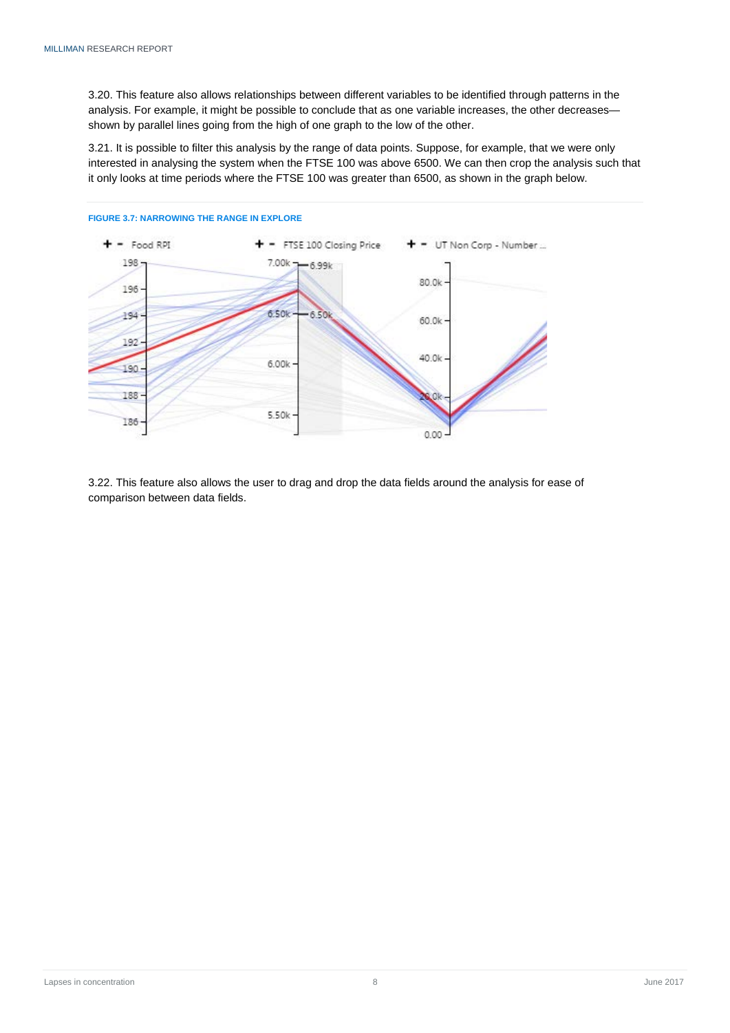3.20. This feature also allows relationships between different variables to be identified through patterns in the analysis. For example, it might be possible to conclude that as one variable increases, the other decreases shown by parallel lines going from the high of one graph to the low of the other.

3.21. It is possible to filter this analysis by the range of data points. Suppose, for example, that we were only interested in analysing the system when the FTSE 100 was above 6500. We can then crop the analysis such that it only looks at time periods where the FTSE 100 was greater than 6500, as shown in the graph below.



3.22. This feature also allows the user to drag and drop the data fields around the analysis for ease of comparison between data fields.

#### **FIGURE 3.7: NARROWING THE RANGE IN EXPLORE**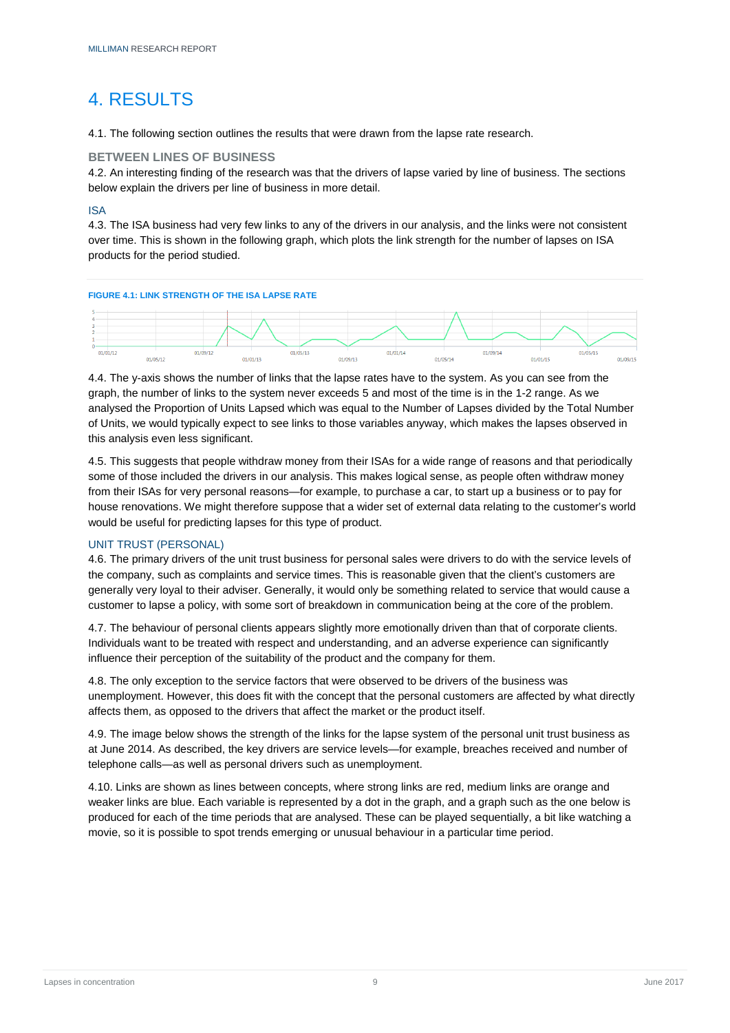# <span id="page-11-0"></span>4. RESULTS

4.1. The following section outlines the results that were drawn from the lapse rate research.

# <span id="page-11-1"></span>**BETWEEN LINES OF BUSINESS**

4.2. An interesting finding of the research was that the drivers of lapse varied by line of business. The sections below explain the drivers per line of business in more detail.

# <span id="page-11-2"></span>ISA

4.3. The ISA business had very few links to any of the drivers in our analysis, and the links were not consistent over time. This is shown in the following graph, which plots the link strength for the number of lapses on ISA products for the period studied.



4.4. The y-axis shows the number of links that the lapse rates have to the system. As you can see from the graph, the number of links to the system never exceeds 5 and most of the time is in the 1-2 range. As we analysed the Proportion of Units Lapsed which was equal to the Number of Lapses divided by the Total Number of Units, we would typically expect to see links to those variables anyway, which makes the lapses observed in this analysis even less significant.

4.5. This suggests that people withdraw money from their ISAs for a wide range of reasons and that periodically some of those included the drivers in our analysis. This makes logical sense, as people often withdraw money from their ISAs for very personal reasons—for example, to purchase a car, to start up a business or to pay for house renovations. We might therefore suppose that a wider set of external data relating to the customer's world would be useful for predicting lapses for this type of product.

# <span id="page-11-3"></span>UNIT TRUST (PERSONAL)

4.6. The primary drivers of the unit trust business for personal sales were drivers to do with the service levels of the company, such as complaints and service times. This is reasonable given that the client's customers are generally very loyal to their adviser. Generally, it would only be something related to service that would cause a customer to lapse a policy, with some sort of breakdown in communication being at the core of the problem.

4.7. The behaviour of personal clients appears slightly more emotionally driven than that of corporate clients. Individuals want to be treated with respect and understanding, and an adverse experience can significantly influence their perception of the suitability of the product and the company for them.

4.8. The only exception to the service factors that were observed to be drivers of the business was unemployment. However, this does fit with the concept that the personal customers are affected by what directly affects them, as opposed to the drivers that affect the market or the product itself.

4.9. The image below shows the strength of the links for the lapse system of the personal unit trust business as at June 2014. As described, the key drivers are service levels—for example, breaches received and number of telephone calls—as well as personal drivers such as unemployment.

4.10. Links are shown as lines between concepts, where strong links are red, medium links are orange and weaker links are blue. Each variable is represented by a dot in the graph, and a graph such as the one below is produced for each of the time periods that are analysed. These can be played sequentially, a bit like watching a movie, so it is possible to spot trends emerging or unusual behaviour in a particular time period.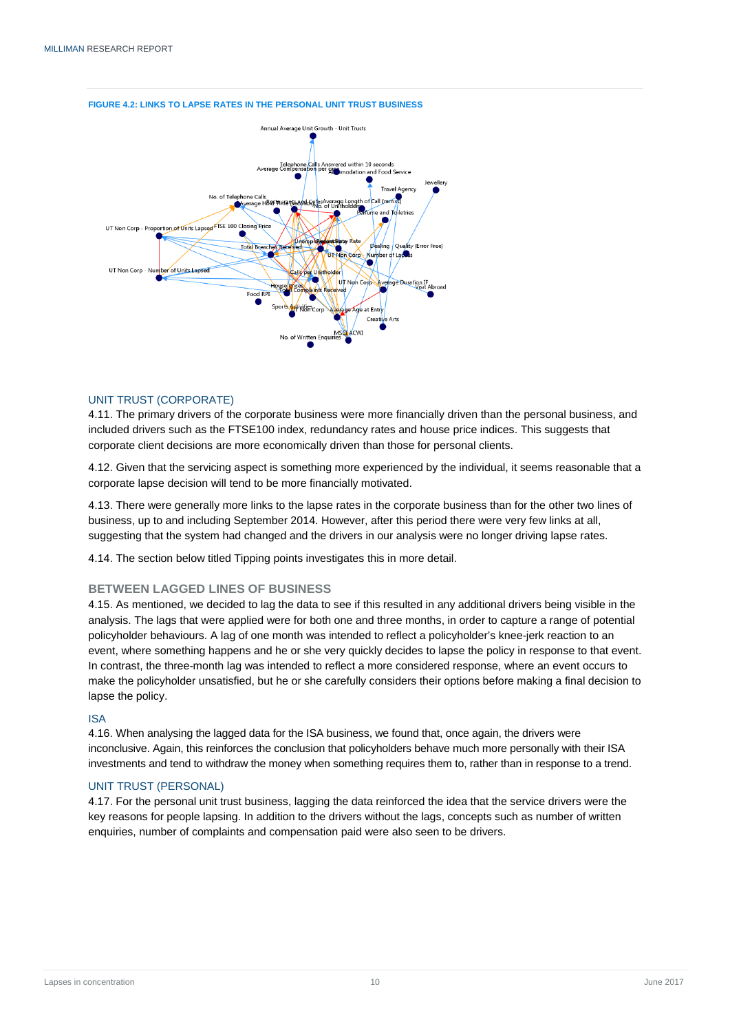

#### **FIGURE 4.2: LINKS TO LAPSE RATES IN THE PERSONAL UNIT TRUST BUSINESS**

#### <span id="page-12-0"></span>UNIT TRUST (CORPORATE)

4.11. The primary drivers of the corporate business were more financially driven than the personal business, and included drivers such as the FTSE100 index, redundancy rates and house price indices. This suggests that corporate client decisions are more economically driven than those for personal clients.

4.12. Given that the servicing aspect is something more experienced by the individual, it seems reasonable that a corporate lapse decision will tend to be more financially motivated.

4.13. There were generally more links to the lapse rates in the corporate business than for the other two lines of business, up to and including September 2014. However, after this period there were very few links at all, suggesting that the system had changed and the drivers in our analysis were no longer driving lapse rates.

4.14. The section below titled Tipping points investigates this in more detail.

#### <span id="page-12-1"></span>**BETWEEN LAGGED LINES OF BUSINESS**

4.15. As mentioned, we decided to lag the data to see if this resulted in any additional drivers being visible in the analysis. The lags that were applied were for both one and three months, in order to capture a range of potential policyholder behaviours. A lag of one month was intended to reflect a policyholder's knee-jerk reaction to an event, where something happens and he or she very quickly decides to lapse the policy in response to that event. In contrast, the three-month lag was intended to reflect a more considered response, where an event occurs to make the policyholder unsatisfied, but he or she carefully considers their options before making a final decision to lapse the policy.

#### <span id="page-12-2"></span>ISA

4.16. When analysing the lagged data for the ISA business, we found that, once again, the drivers were inconclusive. Again, this reinforces the conclusion that policyholders behave much more personally with their ISA investments and tend to withdraw the money when something requires them to, rather than in response to a trend.

### <span id="page-12-3"></span>UNIT TRUST (PERSONAL)

<span id="page-12-4"></span>4.17. For the personal unit trust business, lagging the data reinforced the idea that the service drivers were the key reasons for people lapsing. In addition to the drivers without the lags, concepts such as number of written enquiries, number of complaints and compensation paid were also seen to be drivers.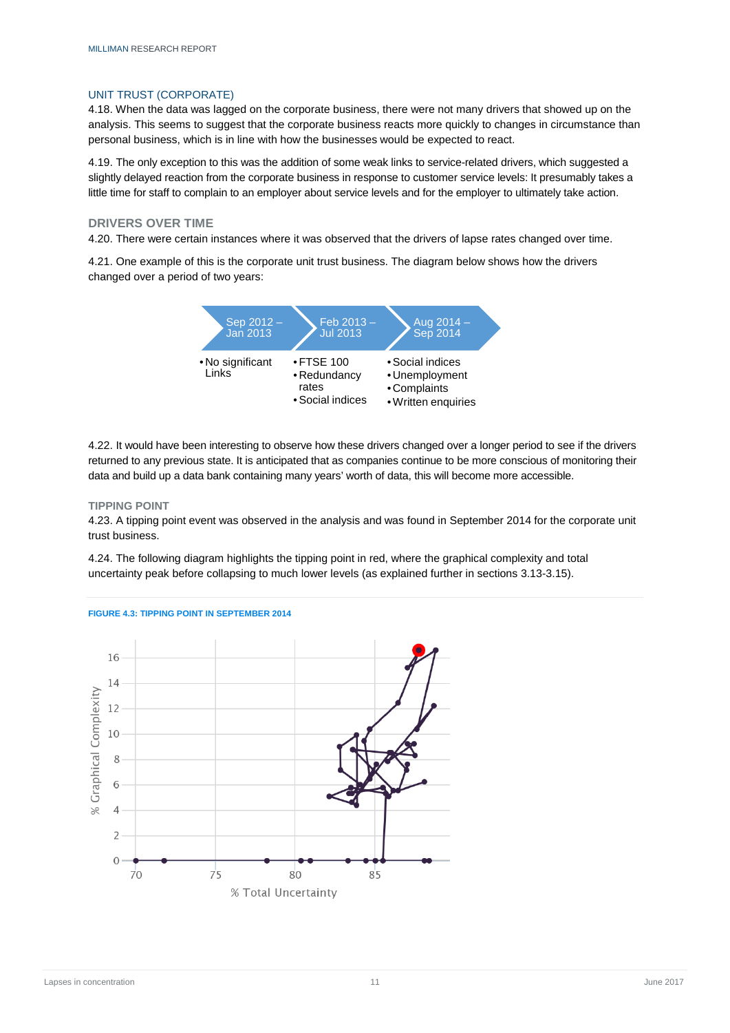#### UNIT TRUST (CORPORATE)

4.18. When the data was lagged on the corporate business, there were not many drivers that showed up on the analysis. This seems to suggest that the corporate business reacts more quickly to changes in circumstance than personal business, which is in line with how the businesses would be expected to react.

4.19. The only exception to this was the addition of some weak links to service-related drivers, which suggested a slightly delayed reaction from the corporate business in response to customer service levels: It presumably takes a little time for staff to complain to an employer about service levels and for the employer to ultimately take action.

#### <span id="page-13-0"></span>**DRIVERS OVER TIME**

4.20. There were certain instances where it was observed that the drivers of lapse rates changed over time.

4.21. One example of this is the corporate unit trust business. The diagram below shows how the drivers changed over a period of two years:



4.22. It would have been interesting to observe how these drivers changed over a longer period to see if the drivers returned to any previous state. It is anticipated that as companies continue to be more conscious of monitoring their data and build up a data bank containing many years' worth of data, this will become more accessible.

#### <span id="page-13-1"></span>**TIPPING POINT**

4.23. A tipping point event was observed in the analysis and was found in September 2014 for the corporate unit trust business.

4.24. The following diagram highlights the tipping point in red, where the graphical complexity and total uncertainty peak before collapsing to much lower levels (as explained further in sections 3.13-3.15).



#### **FIGURE 4.3: TIPPING POINT IN SEPTEMBER 2014**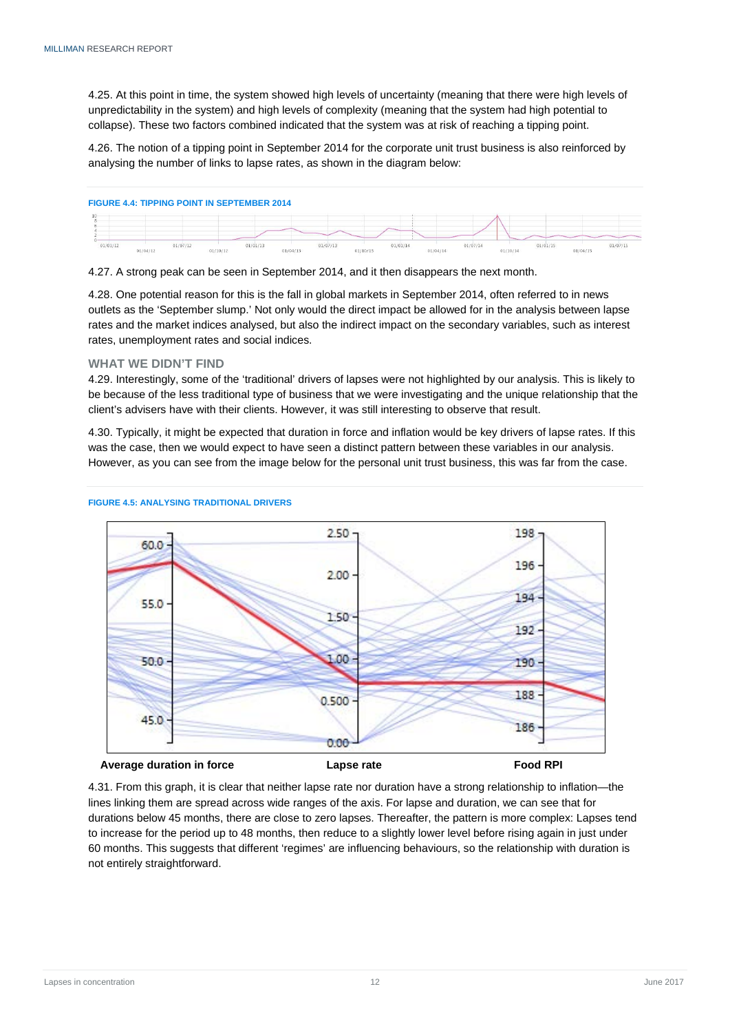4.25. At this point in time, the system showed high levels of uncertainty (meaning that there were high levels of unpredictability in the system) and high levels of complexity (meaning that the system had high potential to collapse). These two factors combined indicated that the system was at risk of reaching a tipping point.

4.26. The notion of a tipping point in September 2014 for the corporate unit trust business is also reinforced by analysing the number of links to lapse rates, as shown in the diagram below:

4.27. A strong peak can be seen in September 2014, and it then disappears the next month.

4.28. One potential reason for this is the fall in global markets in September 2014, often referred to in news outlets as the 'September slump.' Not only would the direct impact be allowed for in the analysis between lapse rates and the market indices analysed, but also the indirect impact on the secondary variables, such as interest rates, unemployment rates and social indices.

#### <span id="page-14-0"></span>**WHAT WE DIDN'T FIND**

4.29. Interestingly, some of the 'traditional' drivers of lapses were not highlighted by our analysis. This is likely to be because of the less traditional type of business that we were investigating and the unique relationship that the client's advisers have with their clients. However, it was still interesting to observe that result.

4.30. Typically, it might be expected that duration in force and inflation would be key drivers of lapse rates. If this was the case, then we would expect to have seen a distinct pattern between these variables in our analysis. However, as you can see from the image below for the personal unit trust business, this was far from the case.



#### **FIGURE 4.5: ANALYSING TRADITIONAL DRIVERS**

4.31. From this graph, it is clear that neither lapse rate nor duration have a strong relationship to inflation—the lines linking them are spread across wide ranges of the axis. For lapse and duration, we can see that for durations below 45 months, there are close to zero lapses. Thereafter, the pattern is more complex: Lapses tend to increase for the period up to 48 months, then reduce to a slightly lower level before rising again in just under 60 months. This suggests that different 'regimes' are influencing behaviours, so the relationship with duration is not entirely straightforward.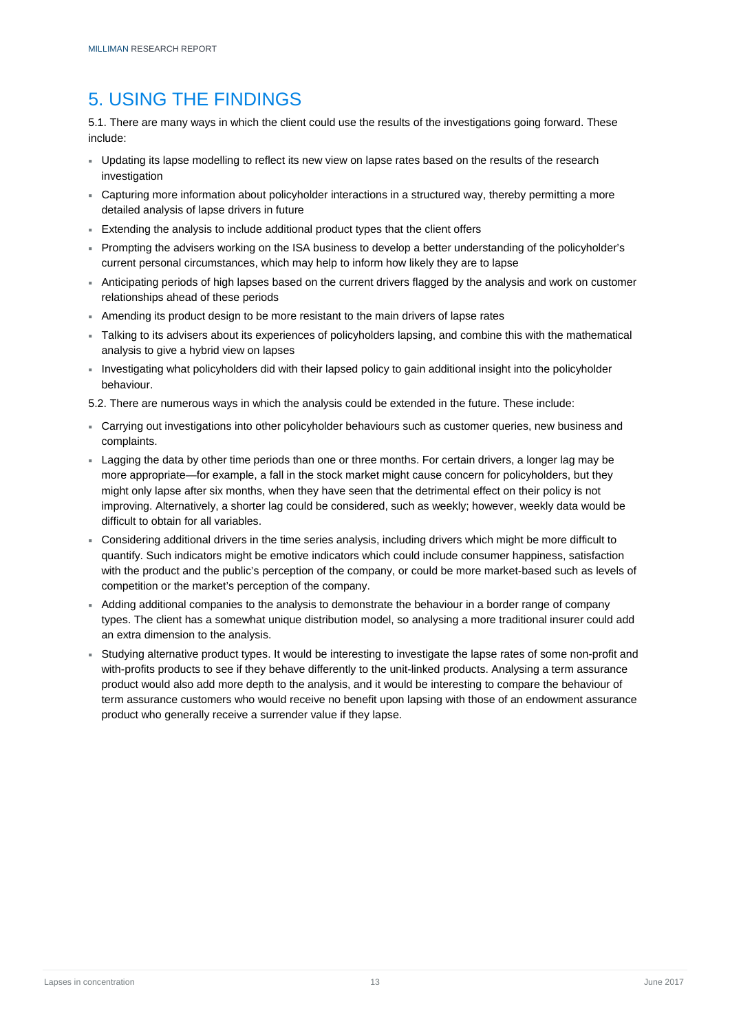# <span id="page-15-0"></span>5. USING THE FINDINGS

5.1. There are many ways in which the client could use the results of the investigations going forward. These include:

- Updating its lapse modelling to reflect its new view on lapse rates based on the results of the research investigation
- Capturing more information about policyholder interactions in a structured way, thereby permitting a more detailed analysis of lapse drivers in future
- Extending the analysis to include additional product types that the client offers
- Prompting the advisers working on the ISA business to develop a better understanding of the policyholder's current personal circumstances, which may help to inform how likely they are to lapse
- Anticipating periods of high lapses based on the current drivers flagged by the analysis and work on customer relationships ahead of these periods
- Amending its product design to be more resistant to the main drivers of lapse rates
- Talking to its advisers about its experiences of policyholders lapsing, and combine this with the mathematical analysis to give a hybrid view on lapses
- Investigating what policyholders did with their lapsed policy to gain additional insight into the policyholder behaviour.

5.2. There are numerous ways in which the analysis could be extended in the future. These include:

- Carrying out investigations into other policyholder behaviours such as customer queries, new business and complaints.
- Lagging the data by other time periods than one or three months. For certain drivers, a longer lag may be more appropriate—for example, a fall in the stock market might cause concern for policyholders, but they might only lapse after six months, when they have seen that the detrimental effect on their policy is not improving. Alternatively, a shorter lag could be considered, such as weekly; however, weekly data would be difficult to obtain for all variables.
- Considering additional drivers in the time series analysis, including drivers which might be more difficult to quantify. Such indicators might be emotive indicators which could include consumer happiness, satisfaction with the product and the public's perception of the company, or could be more market-based such as levels of competition or the market's perception of the company.
- Adding additional companies to the analysis to demonstrate the behaviour in a border range of company types. The client has a somewhat unique distribution model, so analysing a more traditional insurer could add an extra dimension to the analysis.
- Studying alternative product types. It would be interesting to investigate the lapse rates of some non-profit and with-profits products to see if they behave differently to the unit-linked products. Analysing a term assurance product would also add more depth to the analysis, and it would be interesting to compare the behaviour of term assurance customers who would receive no benefit upon lapsing with those of an endowment assurance product who generally receive a surrender value if they lapse.